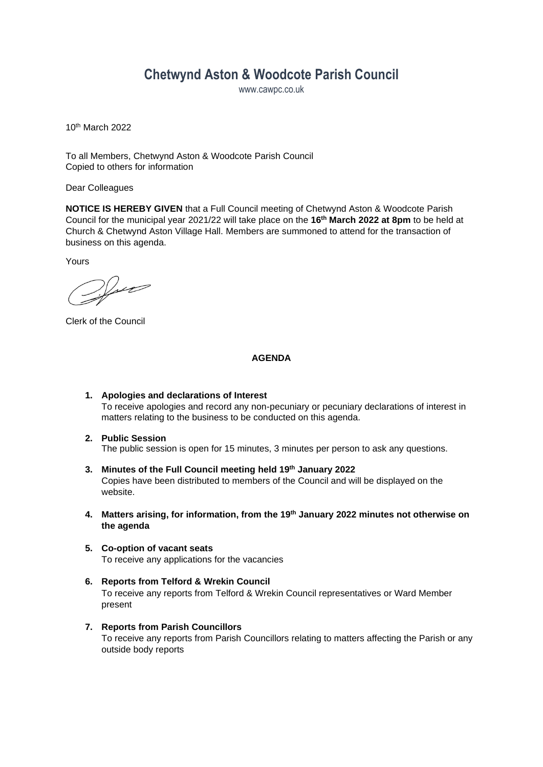# **Chetwynd Aston & Woodcote Parish Council**

www.cawpc.co.uk

10th March 2022

To all Members, Chetwynd Aston & Woodcote Parish Council Copied to others for information

Dear Colleagues

**NOTICE IS HEREBY GIVEN** that a Full Council meeting of Chetwynd Aston & Woodcote Parish Council for the municipal year 2021/22 will take place on the **16th March 2022 at 8pm** to be held at Church & Chetwynd Aston Village Hall. Members are summoned to attend for the transaction of business on this agenda.

Yours

 $\mathcal{V}_{\mathcal{M}}$ 

Clerk of the Council

#### **AGENDA**

- **1. Apologies and declarations of Interest** To receive apologies and record any non-pecuniary or pecuniary declarations of interest in matters relating to the business to be conducted on this agenda.
- **2. Public Session** The public session is open for 15 minutes, 3 minutes per person to ask any questions.
- **3. Minutes of the Full Council meeting held 19th January 2022** Copies have been distributed to members of the Council and will be displayed on the website.
- **4. Matters arising, for information, from the 19th January 2022 minutes not otherwise on the agenda**
- **5. Co-option of vacant seats** To receive any applications for the vacancies
- **6. Reports from Telford & Wrekin Council** To receive any reports from Telford & Wrekin Council representatives or Ward Member present
- **7. Reports from Parish Councillors** To receive any reports from Parish Councillors relating to matters affecting the Parish or any outside body reports